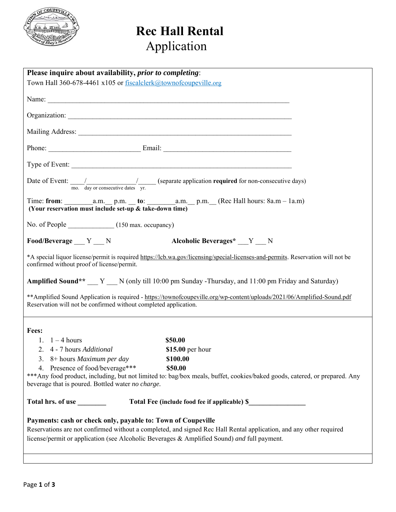

# **Rec Hall Rental** Application

| Please inquire about availability, <i>prior to completing</i> :                                                          |                                                                                                                                 |  |
|--------------------------------------------------------------------------------------------------------------------------|---------------------------------------------------------------------------------------------------------------------------------|--|
| Town Hall 360-678-4461 x105 or fiscalclerk@townofcoupeville.org                                                          |                                                                                                                                 |  |
|                                                                                                                          |                                                                                                                                 |  |
|                                                                                                                          |                                                                                                                                 |  |
|                                                                                                                          |                                                                                                                                 |  |
|                                                                                                                          |                                                                                                                                 |  |
|                                                                                                                          |                                                                                                                                 |  |
|                                                                                                                          |                                                                                                                                 |  |
|                                                                                                                          |                                                                                                                                 |  |
|                                                                                                                          |                                                                                                                                 |  |
|                                                                                                                          | Date of Event: $\frac{1}{\text{mo. day or consecutive dates}}$ (separate application required for non-consecutive days)         |  |
|                                                                                                                          |                                                                                                                                 |  |
| (Your reservation must include set-up & take-down time)                                                                  |                                                                                                                                 |  |
|                                                                                                                          |                                                                                                                                 |  |
| No. of People ________________(150 max. occupancy)                                                                       |                                                                                                                                 |  |
| Food/Beverage $Y_{\text{N}}$                                                                                             | Alcoholic Beverages* __ Y __ N                                                                                                  |  |
|                                                                                                                          | *A special liquor license/permit is required https://lcb.wa.gov/licensing/special-licenses-and-permits. Reservation will not be |  |
| confirmed without proof of license/permit.                                                                               |                                                                                                                                 |  |
| Amplified Sound** __ Y __ N (only till 10:00 pm Sunday -Thursday, and 11:00 pm Friday and Saturday)                      |                                                                                                                                 |  |
|                                                                                                                          |                                                                                                                                 |  |
| ** Amplified Sound Application is required - https://townofcoupeville.org/wp-content/uploads/2021/06/Amplified-Sound.pdf |                                                                                                                                 |  |
| Reservation will not be confirmed without completed application.                                                         |                                                                                                                                 |  |
|                                                                                                                          |                                                                                                                                 |  |
| Fees:                                                                                                                    |                                                                                                                                 |  |
| 1. $1-4$ hours                                                                                                           | \$50.00                                                                                                                         |  |
| 2. 4 - 7 hours Additional                                                                                                | \$15.00 per hour                                                                                                                |  |
| 3. 8+ hours Maximum per day                                                                                              | \$100.00                                                                                                                        |  |
| 4. Presence of food/beverage***                                                                                          | \$50.00                                                                                                                         |  |
|                                                                                                                          | *** Any food product, including, but not limited to: bag/box meals, buffet, cookies/baked goods, catered, or prepared. Any      |  |
| beverage that is poured. Bottled water no charge.                                                                        |                                                                                                                                 |  |
| Total hrs. of use<br>Total Fee (include food fee if applicable) \$                                                       |                                                                                                                                 |  |
| Payments: cash or check only, payable to: Town of Coupeville                                                             |                                                                                                                                 |  |
| Reservations are not confirmed without a completed, and signed Rec Hall Rental application, and any other required       |                                                                                                                                 |  |
| license/permit or application (see Alcoholic Beverages & Amplified Sound) and full payment.                              |                                                                                                                                 |  |
|                                                                                                                          |                                                                                                                                 |  |
|                                                                                                                          |                                                                                                                                 |  |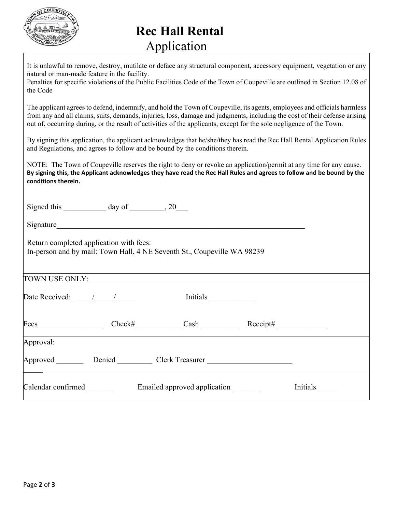

# **Rec Hall Rental** Application

| It is unlawful to remove, destroy, mutilate or deface any structural component, accessory equipment, vegetation or any<br>natural or man-made feature in the facility.<br>Penalties for specific violations of the Public Facilities Code of the Town of Coupeville are outlined in Section 12.08 of<br>the Code                                                               |
|--------------------------------------------------------------------------------------------------------------------------------------------------------------------------------------------------------------------------------------------------------------------------------------------------------------------------------------------------------------------------------|
| The applicant agrees to defend, indemnify, and hold the Town of Coupeville, its agents, employees and officials harmless<br>from any and all claims, suits, demands, injuries, loss, damage and judgments, including the cost of their defense arising<br>out of, occurring during, or the result of activities of the applicants, except for the sole negligence of the Town. |
| By signing this application, the applicant acknowledges that he/she/they has read the Rec Hall Rental Application Rules<br>and Regulations, and agrees to follow and be bound by the conditions therein.                                                                                                                                                                       |
| NOTE: The Town of Coupeville reserves the right to deny or revoke an application/permit at any time for any cause.<br>By signing this, the Applicant acknowledges they have read the Rec Hall Rules and agrees to follow and be bound by the<br>conditions therein.                                                                                                            |
| Signed this $\_\_\_\_\_$ day of $\_\_\_\_$ , 20                                                                                                                                                                                                                                                                                                                                |
| Signature                                                                                                                                                                                                                                                                                                                                                                      |
| Return completed application with fees:<br>In-person and by mail: Town Hall, 4 NE Seventh St., Coupeville WA 98239                                                                                                                                                                                                                                                             |
| TOWN USE ONLY:                                                                                                                                                                                                                                                                                                                                                                 |
| Date Received: $\frac{1}{\sqrt{1-\frac{1}{2}}}\frac{1}{\sqrt{1-\frac{1}{2}}}}$<br><b>Initials</b>                                                                                                                                                                                                                                                                              |
| Check#<br>Cash Receipt#<br>Fees <b>Exercises</b>                                                                                                                                                                                                                                                                                                                               |
| Approval:                                                                                                                                                                                                                                                                                                                                                                      |
| Approved __________ Denied ____________ Clerk Treasurer ________________________                                                                                                                                                                                                                                                                                               |
| Calendar confirmed<br>Emailed approved application<br>Initials                                                                                                                                                                                                                                                                                                                 |